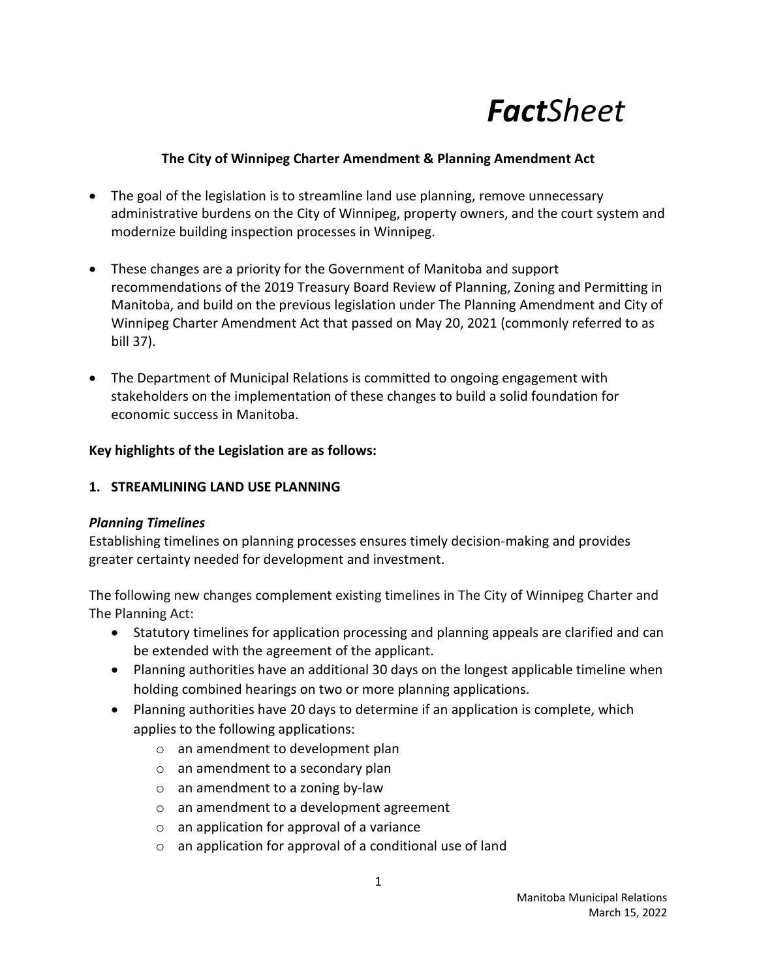# *FactSheet*

### **The City of Winnipeg Charter Amendment & Planning Amendment Act**

- The goal of the legislation is to streamline land use planning, remove unnecessary administrative burdens on the City of Winnipeg, property owners, and the court system and modernize building inspection processes in Winnipeg.
- These changes are a priority for the Government of Manitoba and support recommendations of the 2019 Treasury Board Review of Planning, Zoning and Permitting in Manitoba, and build on the previous legislation under The Planning Amendment and City of Winnipeg Charter Amendment Act that passed on May 20, 2021 (commonly referred to as bill 37).
- The Department of Municipal Relations is committed to ongoing engagement with stakeholders on the implementation of these changes to build a solid foundation for economic success in Manitoba.

#### **Key highlights of the Legislation are as follows:**

#### **1. STREAMLINING LAND USE PLANNING**

#### *Planning Timelines*

Establishing timelines on planning processes ensures timely decision-making and provides greater certainty needed for development and investment.

The following new changes complement existing timelines in The City of Winnipeg Charter and The Planning Act:

- Statutory timelines for application processing and planning appeals are clarified and can be extended with the agreement of the applicant.
- Planning authorities have an additional 30 days on the longest applicable timeline when holding combined hearings on two or more planning applications.
- Planning authorities have 20 days to determine if an application is complete, which applies to the following applications:
	- o an amendment to development plan
	- o an amendment to a secondary plan
	- o an amendment to a zoning by-law
	- o an amendment to a development agreement
	- o an application for approval of a variance
	- o an application for approval of a conditional use of land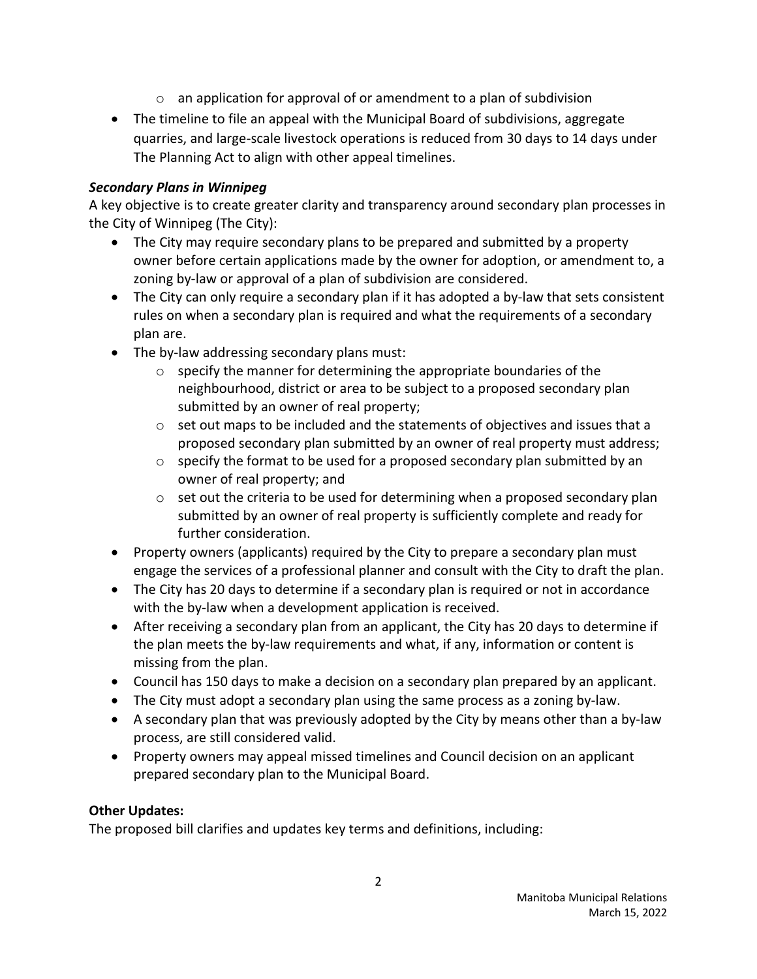- $\circ$  an application for approval of or amendment to a plan of subdivision
- The timeline to file an appeal with the Municipal Board of subdivisions, aggregate quarries, and large-scale livestock operations is reduced from 30 days to 14 days under The Planning Act to align with other appeal timelines.

#### *Secondary Plans in Winnipeg*

A key objective is to create greater clarity and transparency around secondary plan processes in the City of Winnipeg (The City):

- The City may require secondary plans to be prepared and submitted by a property owner before certain applications made by the owner for adoption, or amendment to, a zoning by-law or approval of a plan of subdivision are considered.
- The City can only require a secondary plan if it has adopted a by-law that sets consistent rules on when a secondary plan is required and what the requirements of a secondary plan are.
- The by-law addressing secondary plans must:
	- o specify the manner for determining the appropriate boundaries of the neighbourhood, district or area to be subject to a proposed secondary plan submitted by an owner of real property;
	- $\circ$  set out maps to be included and the statements of objectives and issues that a proposed secondary plan submitted by an owner of real property must address;
	- o specify the format to be used for a proposed secondary plan submitted by an owner of real property; and
	- $\circ$  set out the criteria to be used for determining when a proposed secondary plan submitted by an owner of real property is sufficiently complete and ready for further consideration.
- Property owners (applicants) required by the City to prepare a secondary plan must engage the services of a professional planner and consult with the City to draft the plan.
- The City has 20 days to determine if a secondary plan is required or not in accordance with the by-law when a development application is received.
- After receiving a secondary plan from an applicant, the City has 20 days to determine if the plan meets the by-law requirements and what, if any, information or content is missing from the plan.
- Council has 150 days to make a decision on a secondary plan prepared by an applicant.
- The City must adopt a secondary plan using the same process as a zoning by-law.
- A secondary plan that was previously adopted by the City by means other than a by-law process, are still considered valid.
- Property owners may appeal missed timelines and Council decision on an applicant prepared secondary plan to the Municipal Board.

#### **Other Updates:**

The proposed bill clarifies and updates key terms and definitions, including: